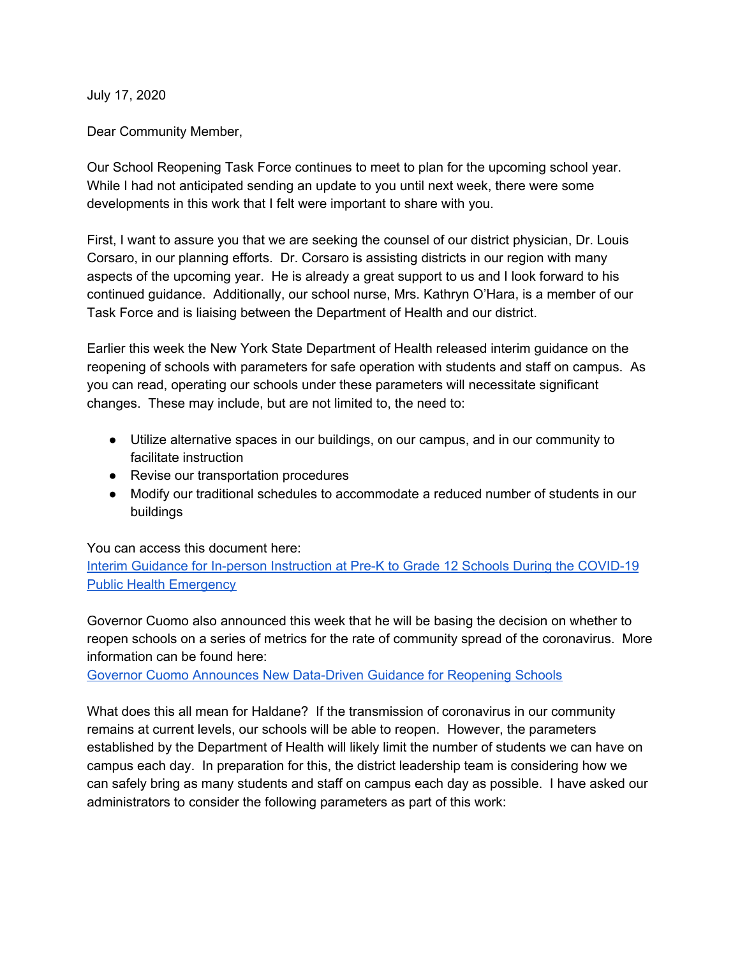July 17, 2020

Dear Community Member,

Our School Reopening Task Force continues to meet to plan for the upcoming school year. While I had not anticipated sending an update to you until next week, there were some developments in this work that I felt were important to share with you.

First, I want to assure you that we are seeking the counsel of our district physician, Dr. Louis Corsaro, in our planning efforts. Dr. Corsaro is assisting districts in our region with many aspects of the upcoming year. He is already a great support to us and I look forward to his continued guidance. Additionally, our school nurse, Mrs. Kathryn O'Hara, is a member of our Task Force and is liaising between the Department of Health and our district.

Earlier this week the New York State Department of Health released interim guidance on the reopening of schools with parameters for safe operation with students and staff on campus. As you can read, operating our schools under these parameters will necessitate significant changes. These may include, but are not limited to, the need to:

- Utilize alternative spaces in our buildings, on our campus, and in our community to facilitate instruction
- Revise our transportation procedures
- Modify our traditional schedules to accommodate a reduced number of students in our buildings

You can access this document here:

Interim Guidance for In-person [Instruction](https://www.governor.ny.gov/sites/governor.ny.gov/files/atoms/files/Pre-K_to_Grade_12_Schools_MasterGuidence.pdf) at Pre-K to Grade 12 Schools During the COVID-19 **Public Health [Emergency](https://www.governor.ny.gov/sites/governor.ny.gov/files/atoms/files/Pre-K_to_Grade_12_Schools_MasterGuidence.pdf)** 

Governor Cuomo also announced this week that he will be basing the decision on whether to reopen schools on a series of metrics for the rate of community spread of the coronavirus. More information can be found here:

Governor Cuomo Announces New [Data-Driven](https://www.governor.ny.gov/news/governor-cuomo-announces-new-data-driven-guidance-reopening-schools) Guidance for Reopening Schools

What does this all mean for Haldane? If the transmission of coronavirus in our community remains at current levels, our schools will be able to reopen. However, the parameters established by the Department of Health will likely limit the number of students we can have on campus each day. In preparation for this, the district leadership team is considering how we can safely bring as many students and staff on campus each day as possible. I have asked our administrators to consider the following parameters as part of this work: